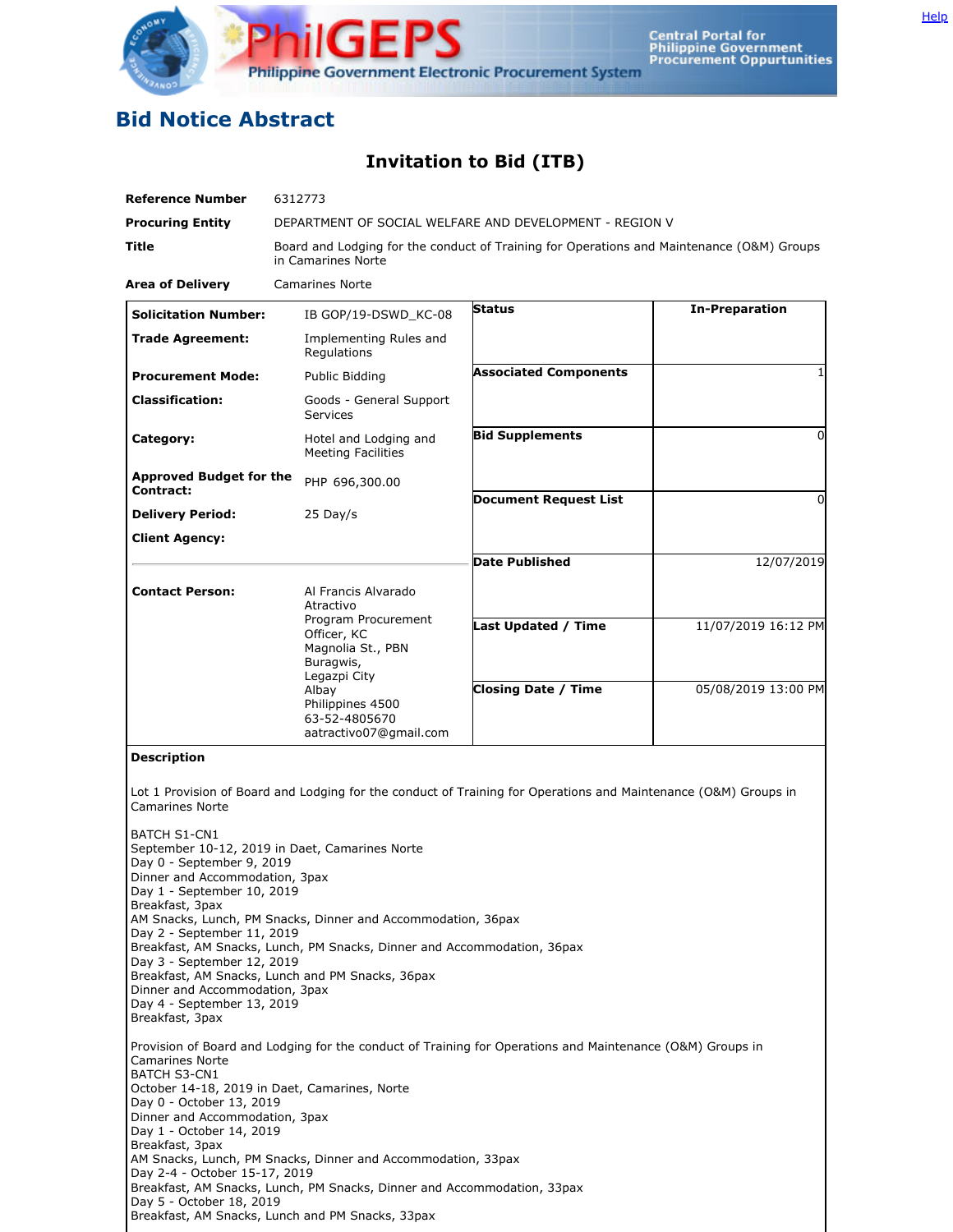

## **Bid Notice Abstract**

## **Invitation to Bid (ITB)**

| <b>Reference Number</b>                                                                                                                                                                                                                                                            | 6312773                                                                                                                                                                                                                                       |                                                                                                                 |                       |
|------------------------------------------------------------------------------------------------------------------------------------------------------------------------------------------------------------------------------------------------------------------------------------|-----------------------------------------------------------------------------------------------------------------------------------------------------------------------------------------------------------------------------------------------|-----------------------------------------------------------------------------------------------------------------|-----------------------|
| <b>Procuring Entity</b>                                                                                                                                                                                                                                                            | DEPARTMENT OF SOCIAL WELFARE AND DEVELOPMENT - REGION V                                                                                                                                                                                       |                                                                                                                 |                       |
| Title                                                                                                                                                                                                                                                                              | Board and Lodging for the conduct of Training for Operations and Maintenance (O&M) Groups<br>in Camarines Norte                                                                                                                               |                                                                                                                 |                       |
| <b>Area of Delivery</b>                                                                                                                                                                                                                                                            | <b>Camarines Norte</b>                                                                                                                                                                                                                        |                                                                                                                 |                       |
| <b>Solicitation Number:</b>                                                                                                                                                                                                                                                        | IB GOP/19-DSWD_KC-08                                                                                                                                                                                                                          | Status                                                                                                          | <b>In-Preparation</b> |
| <b>Trade Agreement:</b>                                                                                                                                                                                                                                                            | Implementing Rules and<br>Regulations                                                                                                                                                                                                         |                                                                                                                 |                       |
| <b>Procurement Mode:</b>                                                                                                                                                                                                                                                           | Public Bidding                                                                                                                                                                                                                                | <b>Associated Components</b>                                                                                    | 1                     |
| <b>Classification:</b>                                                                                                                                                                                                                                                             | Goods - General Support<br><b>Services</b>                                                                                                                                                                                                    |                                                                                                                 |                       |
| Category:                                                                                                                                                                                                                                                                          | Hotel and Lodging and<br><b>Meeting Facilities</b>                                                                                                                                                                                            | <b>Bid Supplements</b>                                                                                          | $\Omega$              |
| <b>Approved Budget for the</b><br>Contract:                                                                                                                                                                                                                                        | PHP 696,300.00                                                                                                                                                                                                                                | <b>Document Request List</b>                                                                                    | 0                     |
| <b>Delivery Period:</b>                                                                                                                                                                                                                                                            | $25$ Day/s                                                                                                                                                                                                                                    |                                                                                                                 |                       |
| <b>Client Agency:</b>                                                                                                                                                                                                                                                              |                                                                                                                                                                                                                                               |                                                                                                                 |                       |
|                                                                                                                                                                                                                                                                                    |                                                                                                                                                                                                                                               | <b>Date Published</b>                                                                                           | 12/07/2019            |
| <b>Contact Person:</b>                                                                                                                                                                                                                                                             | Al Francis Alvarado<br>Atractivo                                                                                                                                                                                                              |                                                                                                                 |                       |
|                                                                                                                                                                                                                                                                                    | Program Procurement<br>Officer, KC<br>Magnolia St., PBN<br>Buragwis,                                                                                                                                                                          | Last Updated / Time                                                                                             | 11/07/2019 16:12 PM   |
|                                                                                                                                                                                                                                                                                    | Legazpi City<br>Albay<br>Philippines 4500<br>63-52-4805670<br>aatractivo07@gmail.com                                                                                                                                                          | <b>Closing Date / Time</b>                                                                                      | 05/08/2019 13:00 PM   |
| <b>Description</b><br><b>Camarines Norte</b>                                                                                                                                                                                                                                       |                                                                                                                                                                                                                                               | Lot 1 Provision of Board and Lodging for the conduct of Training for Operations and Maintenance (O&M) Groups in |                       |
| <b>BATCH S1-CN1</b><br>Day 0 - September 9, 2019<br>Dinner and Accommodation, 3pax<br>Day 1 - September 10, 2019<br>Breakfast, 3pax<br>Day 2 - September 11, 2019<br>Day 3 - September 12, 2019<br>Dinner and Accommodation, 3pax<br>Day 4 - September 13, 2019<br>Breakfast, 3pax | September 10-12, 2019 in Daet, Camarines Norte<br>AM Snacks, Lunch, PM Snacks, Dinner and Accommodation, 36pax<br>Breakfast, AM Snacks, Lunch, PM Snacks, Dinner and Accommodation, 36pax<br>Breakfast, AM Snacks, Lunch and PM Snacks, 36pax |                                                                                                                 |                       |
| <b>Camarines Norte</b><br><b>BATCH S3-CN1</b><br>Day 0 - October 13, 2019<br>Dinner and Accommodation, 3pax<br>Day 1 - October 14, 2019<br>Breakfast, 3pax<br>Day 2-4 - October 15-17, 2019<br>Day 5 - October 18, 2019                                                            | October 14-18, 2019 in Daet, Camarines, Norte<br>AM Snacks, Lunch, PM Snacks, Dinner and Accommodation, 33pax<br>Breakfast, AM Snacks, Lunch, PM Snacks, Dinner and Accommodation, 33pax<br>Breakfast, AM Snacks, Lunch and PM Snacks, 33pax  | Provision of Board and Lodging for the conduct of Training for Operations and Maintenance (O&M) Groups in       |                       |